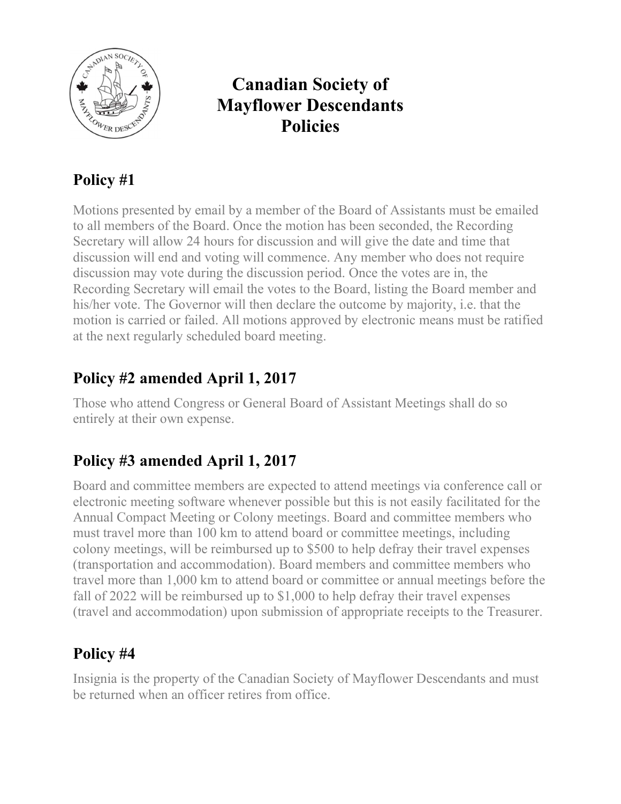

## Canadian Society of Mayflower Descendants Policies

### Policy #1

Motions presented by email by a member of the Board of Assistants must be emailed to all members of the Board. Once the motion has been seconded, the Recording Secretary will allow 24 hours for discussion and will give the date and time that discussion will end and voting will commence. Any member who does not require discussion may vote during the discussion period. Once the votes are in, the Recording Secretary will email the votes to the Board, listing the Board member and his/her vote. The Governor will then declare the outcome by majority, i.e. that the motion is carried or failed. All motions approved by electronic means must be ratified at the next regularly scheduled board meeting.

### Policy #2 amended April 1, 2017

Those who attend Congress or General Board of Assistant Meetings shall do so entirely at their own expense.

### Policy #3 amended April 1, 2017

Board and committee members are expected to attend meetings via conference call or electronic meeting software whenever possible but this is not easily facilitated for the Annual Compact Meeting or Colony meetings. Board and committee members who must travel more than 100 km to attend board or committee meetings, including colony meetings, will be reimbursed up to \$500 to help defray their travel expenses (transportation and accommodation). Board members and committee members who travel more than 1,000 km to attend board or committee or annual meetings before the fall of 2022 will be reimbursed up to \$1,000 to help defray their travel expenses (travel and accommodation) upon submission of appropriate receipts to the Treasurer.

### Policy #4

Insignia is the property of the Canadian Society of Mayflower Descendants and must be returned when an officer retires from office.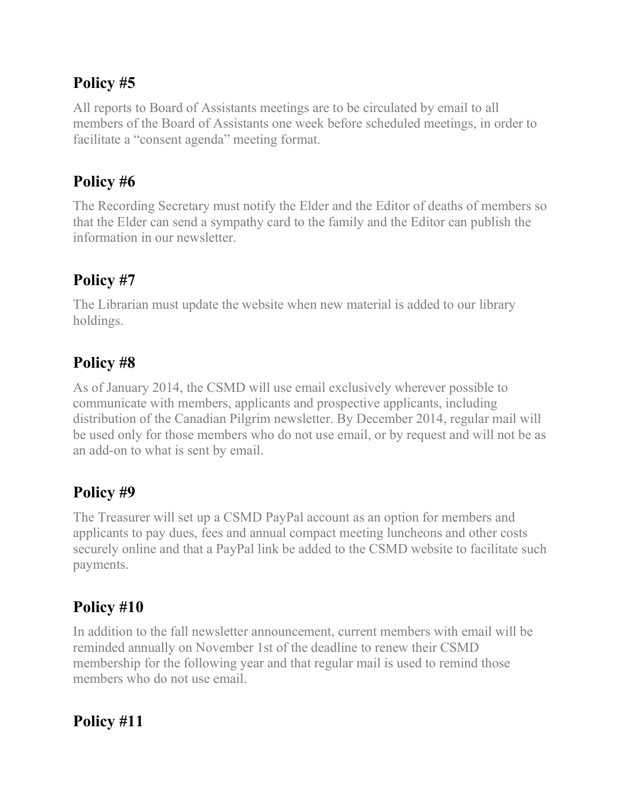#### Policy #5

All reports to Board of Assistants meetings are to be circulated by email to all members of the Board of Assistants one week before scheduled meetings, in order to facilitate a "consent agenda" meeting format.

### Policy #6

The Recording Secretary must notify the Elder and the Editor of deaths of members so that the Elder can send a sympathy card to the family and the Editor can publish the information in our newsletter.

# Policy #7

The Librarian must update the website when new material is added to our library holdings.

## Policy #8

As of January 2014, the CSMD will use email exclusively wherever possible to communicate with members, applicants and prospective applicants, including distribution of the Canadian Pilgrim newsletter. By December 2014, regular mail will be used only for those members who do not use email, or by request and will not be as an add-on to what is sent by email.

### Policy #9

The Treasurer will set up a CSMD PayPal account as an option for members and applicants to pay dues, fees and annual compact meeting luncheons and other costs securely online and that a PayPal link be added to the CSMD website to facilitate such payments.

# Policy #10

In addition to the fall newsletter announcement, current members with email will be reminded annually on November 1st of the deadline to renew their CSMD membership for the following year and that regular mail is used to remind those members who do not use email.

### Policy #11